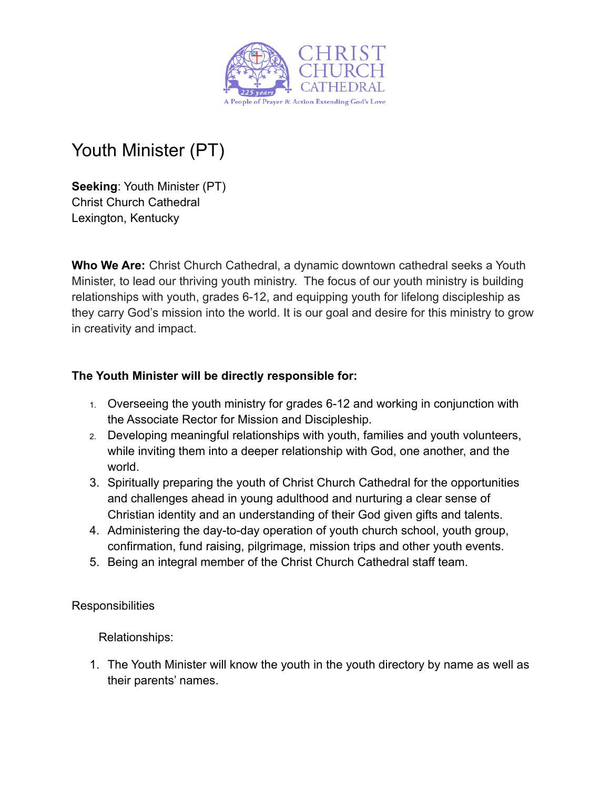

# Youth Minister (PT)

**Seeking**: Youth Minister (PT) Christ Church Cathedral Lexington, Kentucky

**Who We Are:** Christ Church Cathedral, a dynamic downtown cathedral seeks a Youth Minister, to lead our thriving youth ministry. The focus of our youth ministry is building relationships with youth, grades 6-12, and equipping youth for lifelong discipleship as they carry God's mission into the world. It is our goal and desire for this ministry to grow in creativity and impact.

# **The Youth Minister will be directly responsible for:**

- 1. Overseeing the youth ministry for grades 6-12 and working in conjunction with the Associate Rector for Mission and Discipleship.
- 2. Developing meaningful relationships with youth, families and youth volunteers, while inviting them into a deeper relationship with God, one another, and the world.
- 3. Spiritually preparing the youth of Christ Church Cathedral for the opportunities and challenges ahead in young adulthood and nurturing a clear sense of Christian identity and an understanding of their God given gifts and talents.
- 4. Administering the day-to-day operation of youth church school, youth group, confirmation, fund raising, pilgrimage, mission trips and other youth events.
- 5. Being an integral member of the Christ Church Cathedral staff team.

**Responsibilities** 

Relationships:

1. The Youth Minister will know the youth in the youth directory by name as well as their parents' names.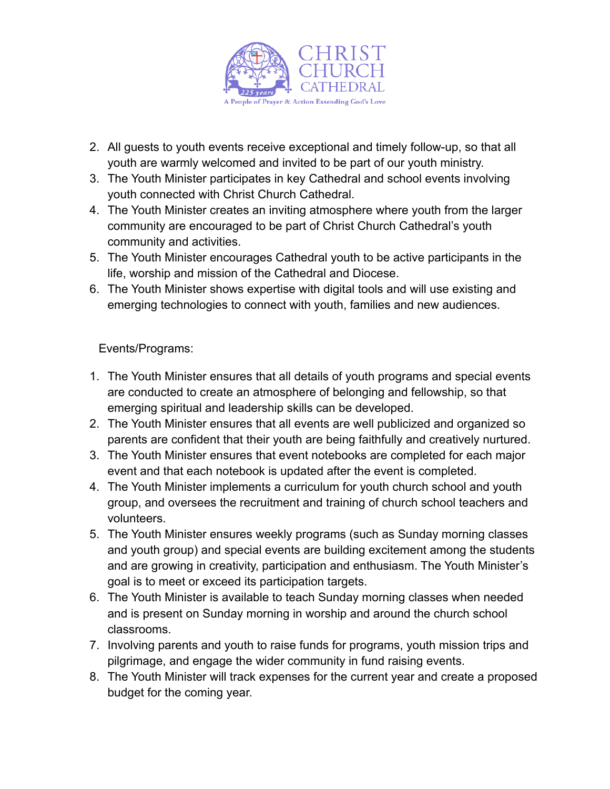

- 2. All guests to youth events receive exceptional and timely follow-up, so that all youth are warmly welcomed and invited to be part of our youth ministry.
- 3. The Youth Minister participates in key Cathedral and school events involving youth connected with Christ Church Cathedral.
- 4. The Youth Minister creates an inviting atmosphere where youth from the larger community are encouraged to be part of Christ Church Cathedral's youth community and activities.
- 5. The Youth Minister encourages Cathedral youth to be active participants in the life, worship and mission of the Cathedral and Diocese.
- 6. The Youth Minister shows expertise with digital tools and will use existing and emerging technologies to connect with youth, families and new audiences.

Events/Programs:

- 1. The Youth Minister ensures that all details of youth programs and special events are conducted to create an atmosphere of belonging and fellowship, so that emerging spiritual and leadership skills can be developed.
- 2. The Youth Minister ensures that all events are well publicized and organized so parents are confident that their youth are being faithfully and creatively nurtured.
- 3. The Youth Minister ensures that event notebooks are completed for each major event and that each notebook is updated after the event is completed.
- 4. The Youth Minister implements a curriculum for youth church school and youth group, and oversees the recruitment and training of church school teachers and volunteers.
- 5. The Youth Minister ensures weekly programs (such as Sunday morning classes and youth group) and special events are building excitement among the students and are growing in creativity, participation and enthusiasm. The Youth Minister's goal is to meet or exceed its participation targets.
- 6. The Youth Minister is available to teach Sunday morning classes when needed and is present on Sunday morning in worship and around the church school classrooms.
- 7. Involving parents and youth to raise funds for programs, youth mission trips and pilgrimage, and engage the wider community in fund raising events.
- 8. The Youth Minister will track expenses for the current year and create a proposed budget for the coming year.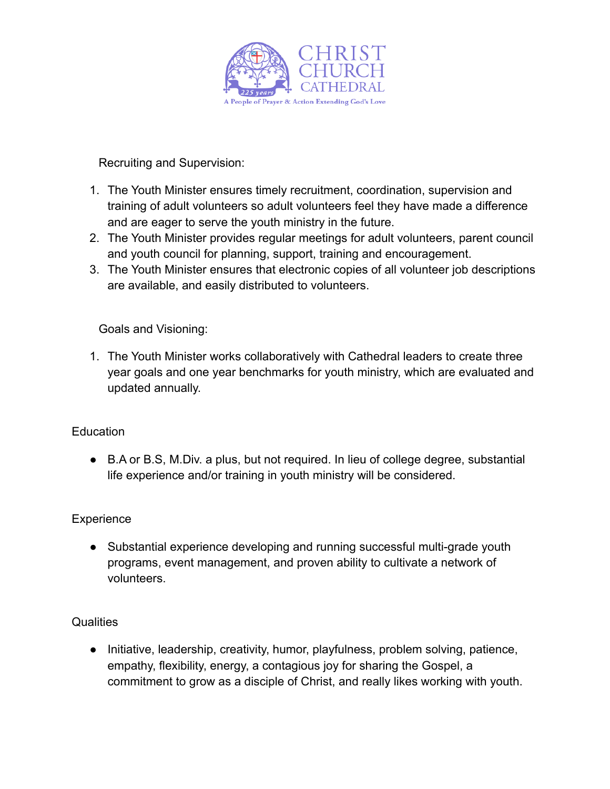

Recruiting and Supervision:

- 1. The Youth Minister ensures timely recruitment, coordination, supervision and training of adult volunteers so adult volunteers feel they have made a difference and are eager to serve the youth ministry in the future.
- 2. The Youth Minister provides regular meetings for adult volunteers, parent council and youth council for planning, support, training and encouragement.
- 3. The Youth Minister ensures that electronic copies of all volunteer job descriptions are available, and easily distributed to volunteers.

Goals and Visioning:

1. The Youth Minister works collaboratively with Cathedral leaders to create three year goals and one year benchmarks for youth ministry, which are evaluated and updated annually.

### Education

● B.A or B.S, M.Div. a plus, but not required. In lieu of college degree, substantial life experience and/or training in youth ministry will be considered.

# **Experience**

● Substantial experience developing and running successful multi-grade youth programs, event management, and proven ability to cultivate a network of volunteers.

# **Qualities**

● Initiative, leadership, creativity, humor, playfulness, problem solving, patience, empathy, flexibility, energy, a contagious joy for sharing the Gospel, a commitment to grow as a disciple of Christ, and really likes working with youth.